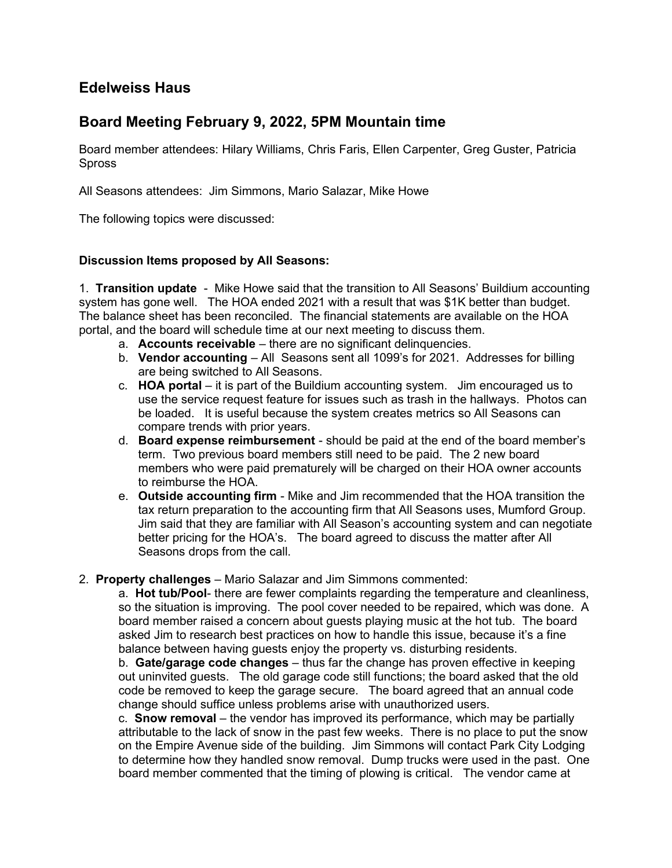# Edelweiss Haus

# Board Meeting February 9, 2022, 5PM Mountain time

Board member attendees: Hilary Williams, Chris Faris, Ellen Carpenter, Greg Guster, Patricia Spross

All Seasons attendees: Jim Simmons, Mario Salazar, Mike Howe

The following topics were discussed:

### Discussion Items proposed by All Seasons:

1. Transition update - Mike Howe said that the transition to All Seasons' Buildium accounting system has gone well. The HOA ended 2021 with a result that was \$1K better than budget. The balance sheet has been reconciled. The financial statements are available on the HOA portal, and the board will schedule time at our next meeting to discuss them.

- a. Accounts receivable there are no significant delinquencies.
- b. Vendor accounting All Seasons sent all 1099's for 2021. Addresses for billing are being switched to All Seasons.
- c. HOA portal it is part of the Buildium accounting system. Jim encouraged us to use the service request feature for issues such as trash in the hallways. Photos can be loaded. It is useful because the system creates metrics so All Seasons can compare trends with prior years.
- d. Board expense reimbursement should be paid at the end of the board member's term. Two previous board members still need to be paid. The 2 new board members who were paid prematurely will be charged on their HOA owner accounts to reimburse the HOA.
- e. Outside accounting firm Mike and Jim recommended that the HOA transition the tax return preparation to the accounting firm that All Seasons uses, Mumford Group. Jim said that they are familiar with All Season's accounting system and can negotiate better pricing for the HOA's. The board agreed to discuss the matter after All Seasons drops from the call.

#### 2. Property challenges – Mario Salazar and Jim Simmons commented:

a. Hot tub/Pool- there are fewer complaints regarding the temperature and cleanliness, so the situation is improving. The pool cover needed to be repaired, which was done. A board member raised a concern about guests playing music at the hot tub. The board asked Jim to research best practices on how to handle this issue, because it's a fine balance between having guests enjoy the property vs. disturbing residents.

b. Gate/garage code changes  $-$  thus far the change has proven effective in keeping out uninvited guests. The old garage code still functions; the board asked that the old code be removed to keep the garage secure. The board agreed that an annual code change should suffice unless problems arise with unauthorized users.

c. **Snow removal** – the vendor has improved its performance, which may be partially attributable to the lack of snow in the past few weeks. There is no place to put the snow on the Empire Avenue side of the building. Jim Simmons will contact Park City Lodging to determine how they handled snow removal. Dump trucks were used in the past. One board member commented that the timing of plowing is critical. The vendor came at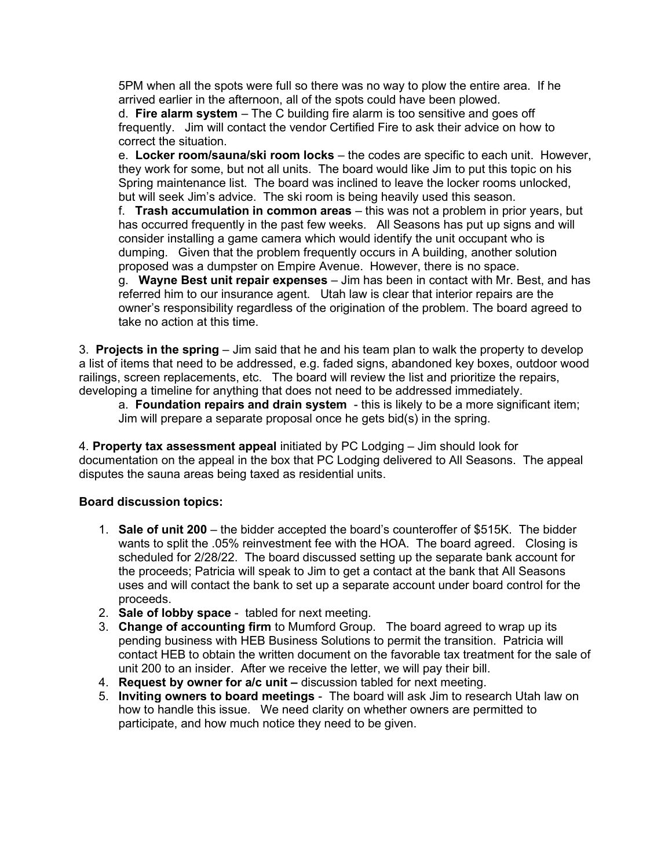5PM when all the spots were full so there was no way to plow the entire area. If he arrived earlier in the afternoon, all of the spots could have been plowed.

d. Fire alarm system – The C building fire alarm is too sensitive and goes off frequently. Jim will contact the vendor Certified Fire to ask their advice on how to correct the situation.

e. Locker room/sauna/ski room locks – the codes are specific to each unit. However, they work for some, but not all units. The board would like Jim to put this topic on his Spring maintenance list. The board was inclined to leave the locker rooms unlocked, but will seek Jim's advice. The ski room is being heavily used this season.

f. Trash accumulation in common areas – this was not a problem in prior years, but has occurred frequently in the past few weeks. All Seasons has put up signs and will consider installing a game camera which would identify the unit occupant who is dumping. Given that the problem frequently occurs in A building, another solution proposed was a dumpster on Empire Avenue. However, there is no space.

g. Wayne Best unit repair expenses – Jim has been in contact with Mr. Best, and has referred him to our insurance agent. Utah law is clear that interior repairs are the owner's responsibility regardless of the origination of the problem. The board agreed to take no action at this time.

3. Projects in the spring  $-$  Jim said that he and his team plan to walk the property to develop a list of items that need to be addressed, e.g. faded signs, abandoned key boxes, outdoor wood railings, screen replacements, etc. The board will review the list and prioritize the repairs, developing a timeline for anything that does not need to be addressed immediately.

a. Foundation repairs and drain system - this is likely to be a more significant item; Jim will prepare a separate proposal once he gets bid(s) in the spring.

4. Property tax assessment appeal initiated by PC Lodging – Jim should look for documentation on the appeal in the box that PC Lodging delivered to All Seasons. The appeal disputes the sauna areas being taxed as residential units.

### Board discussion topics:

- 1. Sale of unit 200 the bidder accepted the board's counteroffer of \$515K. The bidder wants to split the .05% reinvestment fee with the HOA. The board agreed. Closing is scheduled for 2/28/22. The board discussed setting up the separate bank account for the proceeds; Patricia will speak to Jim to get a contact at the bank that All Seasons uses and will contact the bank to set up a separate account under board control for the proceeds.
- 2. Sale of lobby space tabled for next meeting.
- 3. Change of accounting firm to Mumford Group. The board agreed to wrap up its pending business with HEB Business Solutions to permit the transition. Patricia will contact HEB to obtain the written document on the favorable tax treatment for the sale of unit 200 to an insider. After we receive the letter, we will pay their bill.
- 4. Request by owner for a/c unit discussion tabled for next meeting.
- 5. Inviting owners to board meetings The board will ask Jim to research Utah law on how to handle this issue. We need clarity on whether owners are permitted to participate, and how much notice they need to be given.